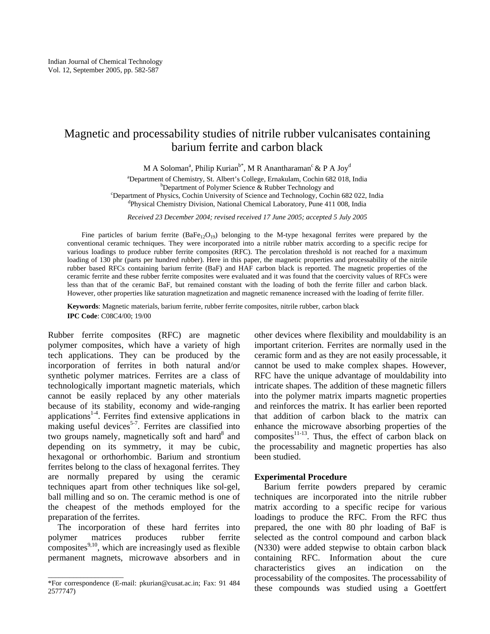# Magnetic and processability studies of nitrile rubber vulcanisates containing barium ferrite and carbon black

M A Soloman<sup>a</sup>, Philip Kurian<sup>b\*</sup>, M R Anantharaman<sup>c</sup> & P A Joy<sup>d</sup>

<sup>a</sup> Department of Chemistry, St. Albert's College, Ernakulam, Cochin 682 018, India b<br>b Department of Polymar Science, & Bubber Technology and  $b$ Department of Polymer Science & Rubber Technology and

<sup>c</sup>Department of Physics, Cochin University of Science and Technology, Cochin 682 022, India Physical Chemistry Division, National Chemical Laboratory, Pune 411 008, India

*Received 23 December 2004; revised received 17 June 2005; accepted 5 July 2005* 

Fine particles of barium ferrite  $(BaFe_{12}O_{19})$  belonging to the M-type hexagonal ferrites were prepared by the conventional ceramic techniques. They were incorporated into a nitrile rubber matrix according to a specific recipe for various loadings to produce rubber ferrite composites (RFC). The percolation threshold is not reached for a maximum loading of 130 phr (parts per hundred rubber). Here in this paper, the magnetic properties and processability of the nitrile rubber based RFCs containing barium ferrite (BaF) and HAF carbon black is reported. The magnetic properties of the ceramic ferrite and these rubber ferrite composites were evaluated and it was found that the coercivity values of RFCs were less than that of the ceramic BaF, but remained constant with the loading of both the ferrite filler and carbon black. However, other properties like saturation magnetization and magnetic remanence increased with the loading of ferrite filler.

**Keywords**: Magnetic materials, barium ferrite, rubber ferrite composites, nitrile rubber, carbon black **IPC Code**: C08C4/00; 19/00

Rubber ferrite composites (RFC) are magnetic polymer composites, which have a variety of high tech applications. They can be produced by the incorporation of ferrites in both natural and/or synthetic polymer matrices. Ferrites are a class of technologically important magnetic materials, which cannot be easily replaced by any other materials because of its stability, economy and wide-ranging applications<sup>1-4</sup>. Ferrites find extensive applications in making useful devices<sup>5-7</sup>. Ferrites are classified into two groups namely, magnetically soft and hard<sup>8</sup> and depending on its symmetry, it may be cubic, hexagonal or orthorhombic. Barium and strontium ferrites belong to the class of hexagonal ferrites. They are normally prepared by using the ceramic techniques apart from other techniques like sol-gel, ball milling and so on. The ceramic method is one of the cheapest of the methods employed for the preparation of the ferrites.

The incorporation of these hard ferrites into polymer matrices produces rubber ferrite composites $9,10$ , which are increasingly used as flexible permanent magnets, microwave absorbers and in

 $\overline{\phantom{a}}$  , we can also the contract of  $\overline{\phantom{a}}$ 

other devices where flexibility and mouldability is an important criterion. Ferrites are normally used in the ceramic form and as they are not easily processable, it cannot be used to make complex shapes. However, RFC have the unique advantage of mouldability into intricate shapes. The addition of these magnetic fillers into the polymer matrix imparts magnetic properties and reinforces the matrix. It has earlier been reported that addition of carbon black to the matrix can enhance the microwave absorbing properties of the composites $11-13$ . Thus, the effect of carbon black on the processability and magnetic properties has also been studied.

# **Experimental Procedure**

Barium ferrite powders prepared by ceramic techniques are incorporated into the nitrile rubber matrix according to a specific recipe for various loadings to produce the RFC. From the RFC thus prepared, the one with 80 phr loading of BaF is selected as the control compound and carbon black (N330) were added stepwise to obtain carbon black containing RFC. Information about the cure characteristics gives an indication on the processability of the composites. The processability of these compounds was studied using a Goettfert

<sup>\*</sup>For correspondence (E-mail: pkurian@cusat.ac.in; Fax: 91 484 2577747)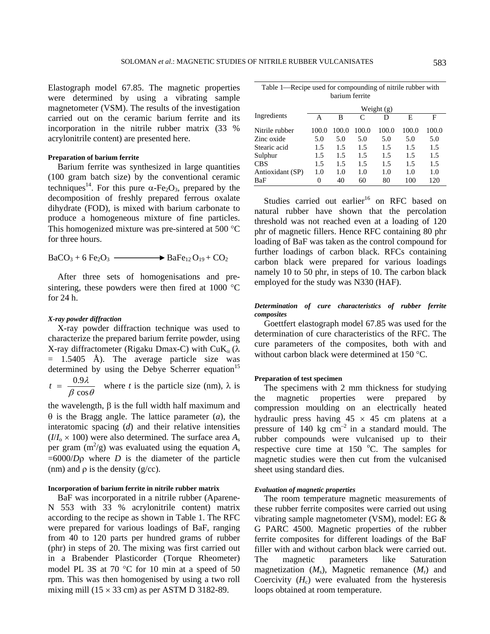Elastograph model 67.85. The magnetic properties were determined by using a vibrating sample magnetometer (VSM). The results of the investigation carried out on the ceramic barium ferrite and its incorporation in the nitrile rubber matrix (33 % acrylonitrile content) are presented here.

# **Preparation of barium ferrite**

Barium ferrite was synthesized in large quantities (100 gram batch size) by the conventional ceramic techniques<sup>14</sup>. For this pure  $\alpha$ -Fe<sub>2</sub>O<sub>3</sub>, prepared by the decomposition of freshly prepared ferrous oxalate dihydrate (FOD), is mixed with barium carbonate to produce a homogeneous mixture of fine particles. This homogenized mixture was pre-sintered at 500 °C for three hours.

$$
BaCO3 + 6 Fe2O3 \longrightarrow BaFe12O19 + CO2
$$

After three sets of homogenisations and presintering, these powders were then fired at 1000 °C for 24 h.

#### *X-ray powder diffraction*

X-ray powder diffraction technique was used to characterize the prepared barium ferrite powder, using X-ray diffractometer (Rigaku Dmax-C) with CuK<sub>α</sub> (λ  $=$  1.5405 Å). The average particle size was determined by using the Debye Scherrer equation<sup>15</sup>

 $t = \frac{0.9\lambda}{\beta \cos \theta}$  where *t* is the particle size (nm),  $\lambda$  is

the wavelength, β is the full width half maximum and θ is the Bragg angle. The lattice parameter (*a*), the interatomic spacing (*d*) and their relative intensities  $(I/I_0 \times 100)$  were also determined. The surface area  $A_s$ per gram  $(m^2/g)$  was evaluated using the equation  $A_s$  $=6000/D\rho$  where *D* is the diameter of the particle (nm) and  $\rho$  is the density (g/cc).

## **Incorporation of barium ferrite in nitrile rubber matrix**

BaF was incorporated in a nitrile rubber (Aparene-N 553 with 33 % acrylonitrile content) matrix according to the recipe as shown in Table 1. The RFC were prepared for various loadings of BaF, ranging from 40 to 120 parts per hundred grams of rubber (phr) in steps of 20. The mixing was first carried out in a Brabender Plasticorder (Torque Rheometer) model PL 3S at 70 °C for 10 min at a speed of 50 rpm. This was then homogenised by using a two roll mixing mill  $(15 \times 33 \text{ cm})$  as per ASTM D 3182-89.

| Table 1—Recipe used for compounding of nitrile rubber with |  |  |  |  |
|------------------------------------------------------------|--|--|--|--|
| barium ferrite                                             |  |  |  |  |

|                  | Weight $(g)$ |       |       |       |       |       |
|------------------|--------------|-------|-------|-------|-------|-------|
| Ingredients      | А            | в     | C     | D     | Е     | F     |
| Nitrile rubber   | 100.0        | 100.0 | 100.0 | 100.0 | 100.0 | 100.0 |
| Zinc oxide       | 5.0          | 5.0   | 5.0   | 5.0   | 5.0   | 5.0   |
| Stearic acid     | 1.5          | 1.5   | 1.5   | 1.5   | 1.5   | 1.5   |
| Sulphur          | 1.5          | 1.5   | 1.5   | 1.5   | 1.5   | 1.5   |
| <b>CBS</b>       | 1.5          | 1.5   | 1.5   | 1.5   | 1.5   | 1.5   |
| Antioxidant (SP) | 1.0          | 1.0   | 1.0   | 1.0   | 1.0   | 1.0   |
| BaF              | 0            | 40    | 60    | 80    | 100   | 120   |

Studies carried out earlier<sup>16</sup> on RFC based on natural rubber have shown that the percolation threshold was not reached even at a loading of 120 phr of magnetic fillers. Hence RFC containing 80 phr loading of BaF was taken as the control compound for further loadings of carbon black. RFCs containing carbon black were prepared for various loadings namely 10 to 50 phr, in steps of 10. The carbon black employed for the study was N330 (HAF).

# *Determination of cure characteristics of rubber ferrite composites*

Goettfert elastograph model 67.85 was used for the determination of cure characteristics of the RFC. The cure parameters of the composites, both with and without carbon black were determined at 150 °C.

#### **Preparation of test specimen**

The specimens with 2 mm thickness for studying the magnetic properties were prepared by compression moulding on an electrically heated hydraulic press having  $45 \times 45$  cm platens at a pressure of  $140 \text{ kg cm}^{-2}$  in a standard mould. The rubber compounds were vulcanised up to their respective cure time at  $150^{\circ}$ C. The samples for magnetic studies were then cut from the vulcanised sheet using standard dies.

#### *Evaluation of magnetic properties*

The room temperature magnetic measurements of these rubber ferrite composites were carried out using vibrating sample magnetometer (VSM), model: EG & G PARC 4500. Magnetic properties of the rubber ferrite composites for different loadings of the BaF filler with and without carbon black were carried out. The magnetic parameters like Saturation magnetization  $(M_s)$ , Magnetic remanence  $(M_r)$  and Coercivity  $(H_c)$  were evaluated from the hysteresis loops obtained at room temperature.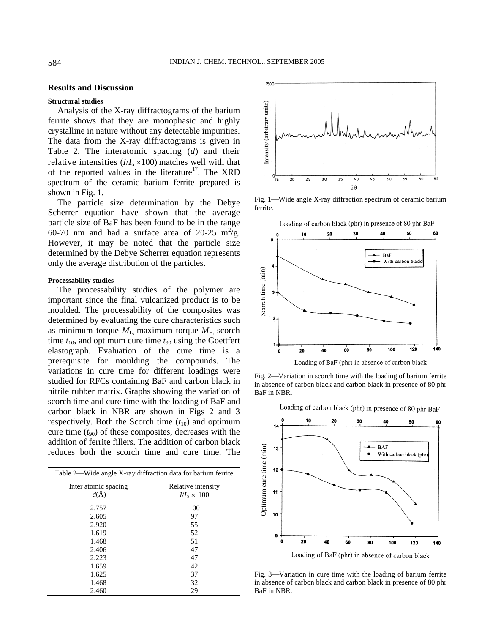# **Results and Discussion**

## **Structural studies**

Analysis of the X-ray diffractograms of the barium ferrite shows that they are monophasic and highly crystalline in nature without any detectable impurities. The data from the X-ray diffractograms is given in Table 2. The interatomic spacing (*d*) and their relative intensities  $(I/I_0 \times 100)$  matches well with that of the reported values in the literature<sup>17</sup>. The XRD spectrum of the ceramic barium ferrite prepared is shown in Fig. 1.

The particle size determination by the Debye Scherrer equation have shown that the average particle size of BaF has been found to be in the range 60-70 nm and had a surface area of 20-25  $\text{m}^2/\text{g}$ . However, it may be noted that the particle size determined by the Debye Scherrer equation represents only the average distribution of the particles.

#### **Processability studies**

The processability studies of the polymer are important since the final vulcanized product is to be moulded. The processability of the composites was determined by evaluating the cure characteristics such as minimum torque  $M_{\text{L}}$  maximum torque  $M_{\text{H}}$  scorch time  $t_{10}$ , and optimum cure time  $t_{90}$  using the Goettfert elastograph. Evaluation of the cure time is a prerequisite for moulding the compounds. The variations in cure time for different loadings were studied for RFCs containing BaF and carbon black in nitrile rubber matrix. Graphs showing the variation of scorch time and cure time with the loading of BaF and carbon black in NBR are shown in Figs 2 and 3 respectively. Both the Scorch time  $(t_{10})$  and optimum cure time  $(t_{90})$  of these composites, decreases with the addition of ferrite fillers. The addition of carbon black reduces both the scorch time and cure time. The

| Table 2—Wide angle X-ray diffraction data for barium ferrite |                    |  |  |
|--------------------------------------------------------------|--------------------|--|--|
| Inter atomic spacing                                         | Relative intensity |  |  |
| $d(\AA)$                                                     | $I/I_0 \times 100$ |  |  |
| 2.757                                                        | 100                |  |  |
| 2.605                                                        | 97                 |  |  |
| 2.920                                                        | 55                 |  |  |
| 1.619                                                        | 52                 |  |  |
| 1.468                                                        | 51                 |  |  |
| 2.406                                                        | 47                 |  |  |
| 2.223                                                        | 47                 |  |  |
| 1.659                                                        | 42                 |  |  |
| 1.625                                                        | 37                 |  |  |
| 1.468                                                        | 32                 |  |  |
| 2.460                                                        | 29                 |  |  |



Fig. 1—Wide angle X-ray diffraction spectrum of ceramic barium ferrite.





Loading of BaF (phr) in absence of carbon black

Fig. 2—Variation in scorch time with the loading of barium ferrite in absence of carbon black and carbon black in presence of 80 phr BaF in NBR.

Loading of carbon black (phr) in presence of 80 phr BaF



Fig. 3—Variation in cure time with the loading of barium ferrite in absence of carbon black and carbon black in presence of 80 phr BaF in NBR.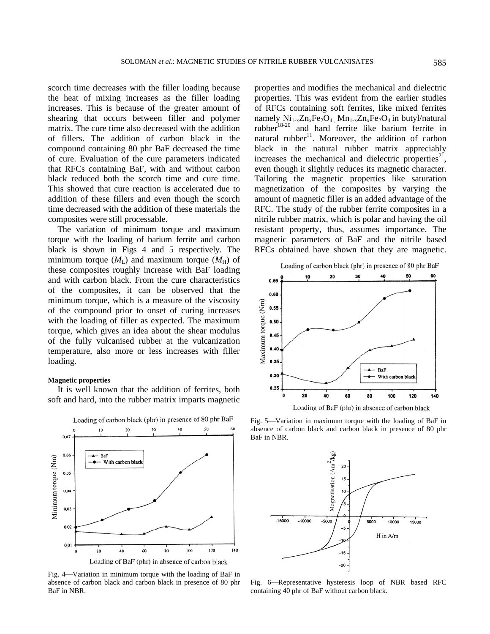scorch time decreases with the filler loading because the heat of mixing increases as the filler loading increases. This is because of the greater amount of shearing that occurs between filler and polymer matrix. The cure time also decreased with the addition of fillers. The addition of carbon black in the compound containing 80 phr BaF decreased the time of cure. Evaluation of the cure parameters indicated that RFCs containing BaF, with and without carbon black reduced both the scorch time and cure time. This showed that cure reaction is accelerated due to addition of these fillers and even though the scorch time decreased with the addition of these materials the composites were still processable.

The variation of minimum torque and maximum torque with the loading of barium ferrite and carbon black is shown in Figs 4 and 5 respectively. The minimum torque  $(M<sub>L</sub>)$  and maximum torque  $(M<sub>H</sub>)$  of these composites roughly increase with BaF loading and with carbon black. From the cure characteristics of the composites, it can be observed that the minimum torque, which is a measure of the viscosity of the compound prior to onset of curing increases with the loading of filler as expected. The maximum torque, which gives an idea about the shear modulus of the fully vulcanised rubber at the vulcanization temperature, also more or less increases with filler loading*.* 

# **Magnetic properties**

It is well known that the addition of ferrites, both soft and hard, into the rubber matrix imparts magnetic



Fig. 4—Variation in minimum torque with the loading of BaF in absence of carbon black and carbon black in presence of 80 phr BaF in NBR.

properties and modifies the mechanical and dielectric properties. This was evident from the earlier studies of RFCs containing soft ferrites, like mixed ferrites namely  $Ni_{1-x}Zn_xFe_2O_4$ ,  $Mn_{1-x}Zn_xFe_2O_4$  in butyl/natural rubber<sup>18-20</sup> and hard ferrite like barium ferrite in natural rubber<sup>11</sup>. Moreover, the addition of carbon black in the natural rubber matrix appreciably increases the mechanical and dielectric properties<sup>21</sup>, even though it slightly reduces its magnetic character. Tailoring the magnetic properties like saturation magnetization of the composites by varying the amount of magnetic filler is an added advantage of the RFC. The study of the rubber ferrite composites in a nitrile rubber matrix, which is polar and having the oil resistant property, thus, assumes importance. The magnetic parameters of BaF and the nitrile based RFCs obtained have shown that they are magnetic.



Fig. 5—Variation in maximum torque with the loading of BaF in absence of carbon black and carbon black in presence of 80 phr BaF in NBR.



Fig. 6-Representative hysteresis loop of NBR based RFC containing 40 phr of BaF without carbon black.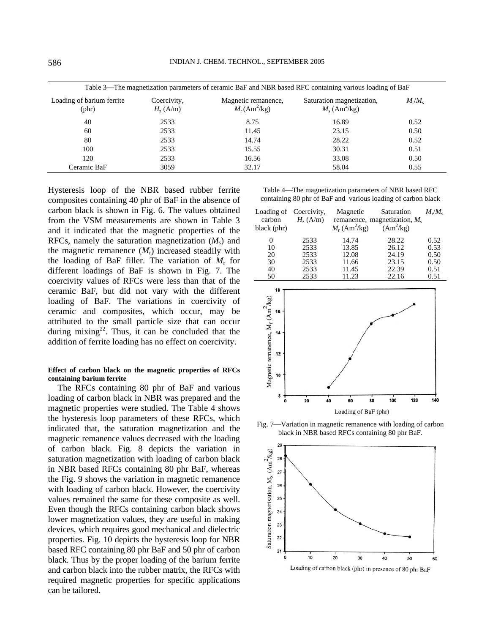| Table 3—The magnetization parameters of ceramic BaF and NBR based RFC containing various loading of BaF |                                  |                                                          |                                                          |                       |  |
|---------------------------------------------------------------------------------------------------------|----------------------------------|----------------------------------------------------------|----------------------------------------------------------|-----------------------|--|
| Loading of barium ferrite<br>$(\text{phr})$                                                             | Coercivity,<br>$H_{\rm z}$ (A/m) | Magnetic remanence,<br>$M_{\rm r}$ (Am <sup>2</sup> /kg) | Saturation magnetization,<br>$M_s$ (Am <sup>2</sup> /kg) | $M_{\rm r}/M_{\rm s}$ |  |
| 40                                                                                                      | 2533                             | 8.75                                                     | 16.89                                                    | 0.52                  |  |
| 60                                                                                                      | 2533                             | 11.45                                                    | 23.15                                                    | 0.50                  |  |
| 80                                                                                                      | 2533                             | 14.74                                                    | 28.22                                                    | 0.52                  |  |
| 100                                                                                                     | 2533                             | 15.55                                                    | 30.31                                                    | 0.51                  |  |
| 120                                                                                                     | 2533                             | 16.56                                                    | 33.08                                                    | 0.50                  |  |
| Ceramic BaF                                                                                             | 3059                             | 32.17                                                    | 58.04                                                    | 0.55                  |  |

Hysteresis loop of the NBR based rubber ferrite composites containing 40 phr of BaF in the absence of carbon black is shown in Fig. 6. The values obtained from the VSM measurements are shown in Table 3 and it indicated that the magnetic properties of the RFCs, namely the saturation magnetization  $(M<sub>s</sub>)$  and the magnetic remanence  $(M_r)$  increased steadily with the loading of BaF filler. The variation of  $M_r$  for different loadings of BaF is shown in Fig. 7. The coercivity values of RFCs were less than that of the ceramic BaF, but did not vary with the different loading of BaF. The variations in coercivity of ceramic and composites, which occur, may be attributed to the small particle size that can occur during mixing<sup>22</sup>. Thus, it can be concluded that the addition of ferrite loading has no effect on coercivity.

## **Effect of carbon black on the magnetic properties of RFCs containing barium ferrite**

The RFCs containing 80 phr of BaF and various loading of carbon black in NBR was prepared and the magnetic properties were studied. The Table 4 shows the hysteresis loop parameters of these RFCs, which indicated that, the saturation magnetization and the magnetic remanence values decreased with the loading of carbon black. Fig. 8 depicts the variation in saturation magnetization with loading of carbon black in NBR based RFCs containing 80 phr BaF, whereas the Fig. 9 shows the variation in magnetic remanence with loading of carbon black. However, the coercivity values remained the same for these composite as well. Even though the RFCs containing carbon black shows lower magnetization values, they are useful in making devices, which requires good mechanical and dielectric properties. Fig. 10 depicts the hysteresis loop for NBR based RFC containing 80 phr BaF and 50 phr of carbon black. Thus by the proper loading of the barium ferrite and carbon black into the rubber matrix, the RFCs with required magnetic properties for specific applications can be tailored.

Table 4—The magnetization parameters of NBR based RFC containing 80 phr of BaF and various loading of carbon black

| Loading of Coercivity,<br>carbon<br>black (phr) | $H_{\rm z}$ (A/m) | Magnetic<br>$M_r$ (Am <sup>2</sup> /kg) | Saturation<br>remanence, magnetization, $M_s$<br>$(Am^2/kg)$ | $M_{\rm r}/M_{\rm s}$ |
|-------------------------------------------------|-------------------|-----------------------------------------|--------------------------------------------------------------|-----------------------|
| 0                                               | 2533              | 14.74                                   | 28.22                                                        | 0.52                  |
| 10                                              | 2533              | 13.85                                   | 26.12                                                        | 0.53                  |
| 20                                              | 2533              | 12.08                                   | 24.19                                                        | 0.50                  |
| 30                                              | 2533              | 11.66                                   | 23.15                                                        | 0.50                  |
| 40                                              | 2533              | 11.45                                   | 22.39                                                        | 0.51                  |
| 50                                              | 2533              | 11.23                                   | 22.16                                                        | 0.51                  |



Fig. 7—Variation in magnetic remanence with loading of carbon black in NBR based RFCs containing 80 phr BaF.